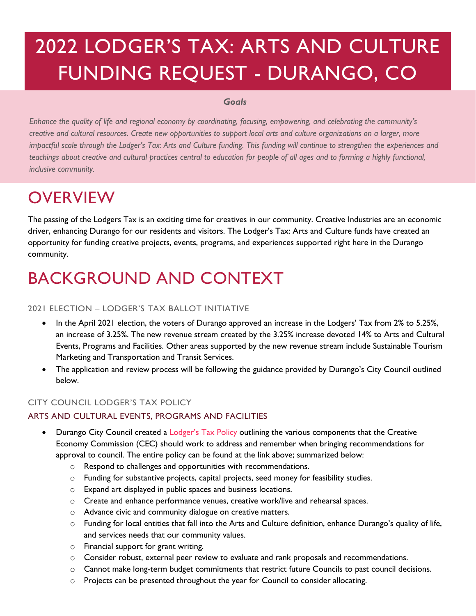# 2022 LODGER'S TAX: ARTS AND CULTURE FUNDING REQUEST - DURANGO, CO

#### *Goals*

*Enhance the quality of life and regional economy by coordinating, focusing, empowering, and celebrating the community's creative and cultural resources. Create new opportunities to support local arts and culture organizations on a larger, more impactful scale through the Lodger's Tax: Arts and Culture funding. This funding will continue to strengthen the experiences and teachings about creative and cultural practices central to education for people of all ages and to forming a highly functional, inclusive community.*

### **OVERVIEW**

The passing of the Lodgers Tax is an exciting time for creatives in our community. Creative Industries are an economic driver, enhancing Durango for our residents and visitors. The Lodger's Tax: Arts and Culture funds have created an opportunity for funding creative projects, events, programs, and experiences supported right here in the Durango community.

### BACKGROUND AND CONTEXT

#### 2021 ELECTION – LODGER'S TAX BALLOT INITIATIVE

- In the April 2021 election, the voters of Durango approved an increase in the Lodgers' Tax from 2% to 5.25%, an increase of 3.25%. The new revenue stream created by the 3.25% increase devoted 14% to Arts and Cultural Events, Programs and Facilities. Other areas supported by the new revenue stream include Sustainable Tourism Marketing and Transportation and Transit Services.
- The application and review process will be following the guidance provided by Durango's City Council outlined below.

#### CITY COUNCIL LODGER'S TAX POLICY

#### ARTS AND CULTURAL EVENTS, PROGRAMS AND FACILITIES

- Durango City Council created a **Lodger's Tax Policy** outlining the various components that the Creative Economy Commission (CEC) should work to address and remember when bringing recommendations for approval to council. The entire policy can be found at the link above; summarized below:
	- o Respond to challenges and opportunities with recommendations.
	- o Funding for substantive projects, capital projects, seed money for feasibility studies.
	- o Expand art displayed in public spaces and business locations.
	- o Create and enhance performance venues, creative work/live and rehearsal spaces.
	- o Advance civic and community dialogue on creative matters.
	- $\circ$  Funding for local entities that fall into the Arts and Culture definition, enhance Durango's quality of life, and services needs that our community values.
	- o Financial support for grant writing.
	- o Consider robust, external peer review to evaluate and rank proposals and recommendations.
	- $\circ$  Cannot make long-term budget commitments that restrict future Councils to past council decisions.
	- $\circ$  Projects can be presented throughout the year for Council to consider allocating.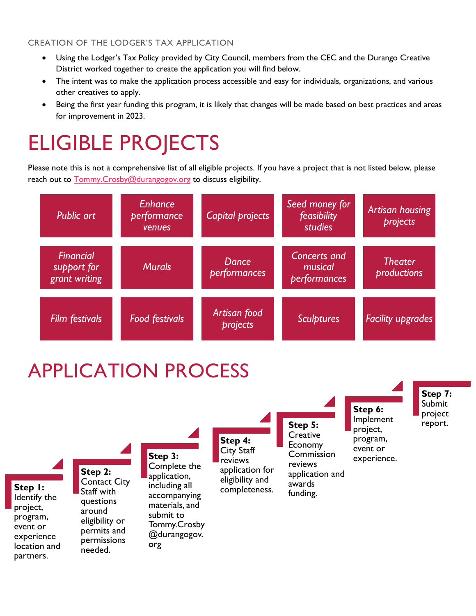#### CREATION OF THE LODGER'S TAX APPLICATION

- Using the Lodger's Tax Policy provided by City Council, members from the CEC and the Durango Creative District worked together to create the application you will find below.
- The intent was to make the application process accessible and easy for individuals, organizations, and various other creatives to apply.
- Being the first year funding this program, it is likely that changes will be made based on best practices and areas for improvement in 2023.

# ELIGIBLE PROJECTS

Please note this is not a comprehensive list of all eligible projects. If you have a project that is not listed below, please reach out to **Tommy.Crosby@durangogov.org** to discuss eligibility.



# APPLICATION PROCESS

partners.

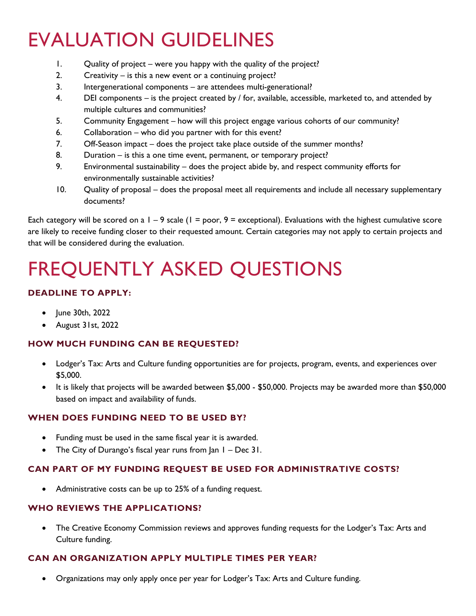# EVALUATION GUIDELINES

- 1. Quality of project were you happy with the quality of the project?
- 2. Creativity is this a new event or a continuing project?
- 3. Intergenerational components are attendees multi-generational?
- 4. DEI components  $-$  is the project created by / for, available, accessible, marketed to, and attended by multiple cultures and communities?
- 5. Community Engagement how will this project engage various cohorts of our community?
- 6. Collaboration who did you partner with for this event?
- 7. Off-Season impact does the project take place outside of the summer months?
- 8. Duration is this a one time event, permanent, or temporary project?
- 9. Environmental sustainability does the project abide by, and respect community efforts for environmentally sustainable activities?
- 10. Quality of proposal does the proposal meet all requirements and include all necessary supplementary documents?

Each category will be scored on a  $1 - 9$  scale ( $1 =$  poor,  $9 =$  exceptional). Evaluations with the highest cumulative score are likely to receive funding closer to their requested amount. Certain categories may not apply to certain projects and that will be considered during the evaluation.

# FREQUENTLY ASKED QUESTIONS

#### **DEADLINE TO APPLY:**

- June 30th, 2022
- August 31st, 2022

#### **HOW MUCH FUNDING CAN BE REQUESTED?**

- Lodger's Tax: Arts and Culture funding opportunities are for projects, program, events, and experiences over \$5,000.
- It is likely that projects will be awarded between \$5,000 \$50,000. Projects may be awarded more than \$50,000 based on impact and availability of funds.

#### **WHEN DOES FUNDING NEED TO BE USED BY?**

- Funding must be used in the same fiscal year it is awarded.
- The City of Durango's fiscal year runs from  $|a_n| Dec$  31.

#### **CAN PART OF MY FUNDING REQUEST BE USED FOR ADMINISTRATIVE COSTS?**

• Administrative costs can be up to 25% of a funding request.

#### **WHO REVIEWS THE APPLICATIONS?**

• The Creative Economy Commission reviews and approves funding requests for the Lodger's Tax: Arts and Culture funding.

#### **CAN AN ORGANIZATION APPLY MULTIPLE TIMES PER YEAR?**

• Organizations may only apply once per year for Lodger's Tax: Arts and Culture funding.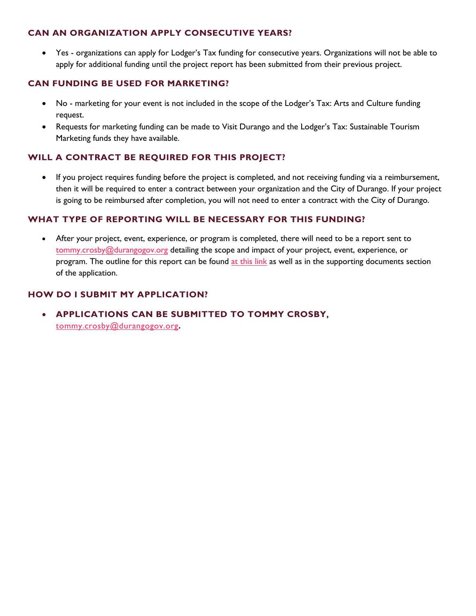#### **CAN AN ORGANIZATION APPLY CONSECUTIVE YEARS?**

• Yes - organizations can apply for Lodger's Tax funding for consecutive years. Organizations will not be able to apply for additional funding until the project report has been submitted from their previous project.

#### **CAN FUNDING BE USED FOR MARKETING?**

- No marketing for your event is not included in the scope of the Lodger's Tax: Arts and Culture funding request.
- Requests for marketing funding can be made to Visit Durango and the Lodger's Tax: Sustainable Tourism Marketing funds they have available.

#### **WILL A CONTRACT BE REQUIRED FOR THIS PROJECT?**

• If you project requires funding before the project is completed, and not receiving funding via a reimbursement, then it will be required to enter a contract between your organization and the City of Durango. If your project is going to be reimbursed after completion, you will not need to enter a contract with the City of Durango.

#### **WHAT TYPE OF REPORTING WILL BE NECESSARY FOR THIS FUNDING?**

• After your project, event, experience, or program is completed, there will need to be a report sent to [tommy.crosby@durangogov.org](mailto:tommy.crosby@durangogov.org) detailing the scope and impact of your project, event, experience, or program. The outline for this report can be found at [this](https://www.durangogov.org/DocumentCenter/View/23739/Lodgers-Tax-Arts-and-Culture-Reimbursement-Form) link as well as in the supporting documents section of the application.

#### **HOW DO I SUBMIT MY APPLICATION?**

• **[APPLICATIONS CAN BE SU](mailto:tommy.crosby@durangogov.org)BMITTED TO TOMMY CROSBY,** tommy.crosby@durangogov.org**.**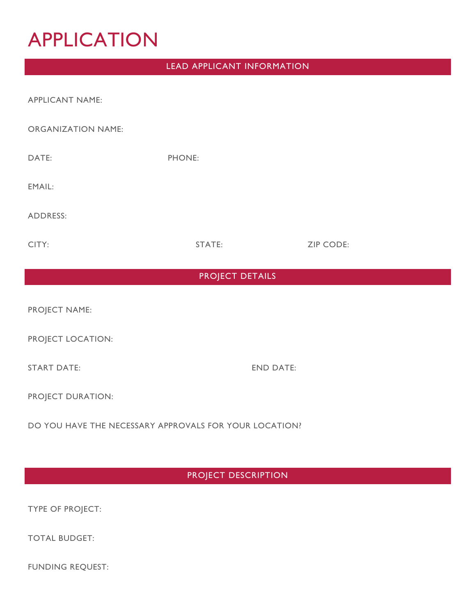## APPLICATION

#### LEAD APPLICANT INFORMATION

| <b>APPLICANT NAME:</b>    |                  |                  |
|---------------------------|------------------|------------------|
| <b>ORGANIZATION NAME:</b> |                  |                  |
| DATE:                     | PHONE:           |                  |
| EMAIL:                    |                  |                  |
| <b>ADDRESS:</b>           |                  |                  |
| CITY:                     | STATE:           | <b>ZIP CODE:</b> |
| <b>PROJECT DETAILS</b>    |                  |                  |
| PROJECT NAME:             |                  |                  |
| PROJECT LOCATION:         |                  |                  |
| <b>START DATE:</b>        | <b>END DATE:</b> |                  |
| PROJECT DURATION:         |                  |                  |

DO YOU HAVE THE NECESSARY APPROVALS FOR YOUR LOCATION?

#### PROJECT DESCRIPTION

TYPE OF PROJECT:

TOTAL BUDGET:

FUNDING REQUEST: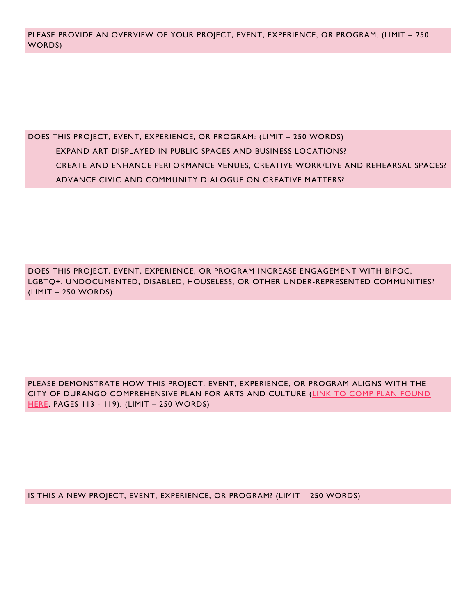DOES THIS PROJECT, EVENT, EXPERIENCE, OR PROGRAM: (LIMIT – 250 WORDS) EXPAND ART DISPLAYED IN PUBLIC SPACES AND BUSINESS LOCATIONS? CREATE AND ENHANCE PERFORMANCE VENUES, CREATIVE WORK/LIVE AND REHEARSAL SPACES? ADVANCE CIVIC AND COMMUNITY DIALOGUE ON CREATIVE MATTERS?

DOES THIS PROJECT, EVENT, EXPERIENCE, OR PROGRAM INCREASE ENGAGEMENT WITH BIPOC, LGBTQ+, UNDOCUMENTED, DISABLED, HOUSELESS, OR OTHER UNDER-REPRESENTED COMMUNITIES? (LIMIT – 250 WORDS)

PLEASE DEMONSTRATE HOW THIS PROJECT, EVENT, EXPERIENCE, OR PROGRAM ALIGNS WITH THE CITY OF DURANGO COMPREHENSIVE PLAN FOR ARTS AND CULTURE [\(LINK TO COMP PLAN FOUND](https://www.durangogov.org/DocumentCenter/View/8887/Comprehensive-Plan-2017?bidId=)  [HERE,](https://www.durangogov.org/DocumentCenter/View/8887/Comprehensive-Plan-2017?bidId=) PAGES 113 - 119). (LIMIT – 250 WORDS)

IS THIS A NEW PROJECT, EVENT, EXPERIENCE, OR PROGRAM? (LIMIT – 250 WORDS)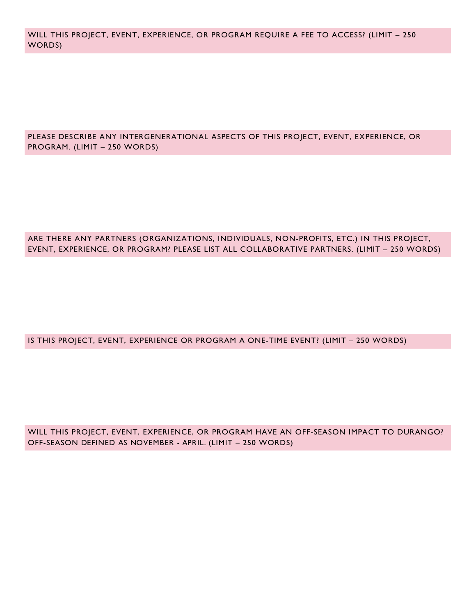WILL THIS PROJECT, EVENT, EXPERIENCE, OR PROGRAM REQUIRE A FEE TO ACCESS? (LIMIT – 250 WORDS)

PLEASE DESCRIBE ANY INTERGENERATIONAL ASPECTS OF THIS PROJECT, EVENT, EXPERIENCE, OR PROGRAM. (LIMIT – 250 WORDS)

#### ARE THERE ANY PARTNERS (ORGANIZATIONS, INDIVIDUALS, NON-PROFITS, ETC.) IN THIS PROJECT, EVENT, EXPERIENCE, OR PROGRAM? PLEASE LIST ALL COLLABORATIVE PARTNERS. (LIMIT – 250 WORDS)

IS THIS PROJECT, EVENT, EXPERIENCE OR PROGRAM A ONE-TIME EVENT? (LIMIT – 250 WORDS)

WILL THIS PROJECT, EVENT, EXPERIENCE, OR PROGRAM HAVE AN OFF-SEASON IMPACT TO DURANGO? OFF-SEASON DEFINED AS NOVEMBER - APRIL. (LIMIT – 250 WORDS)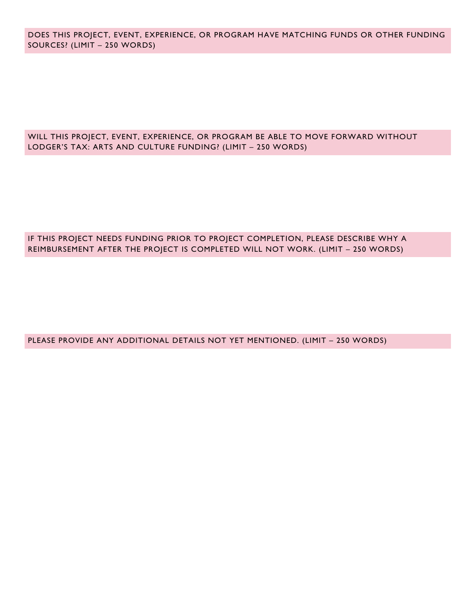DOES THIS PROJECT, EVENT, EXPERIENCE, OR PROGRAM HAVE MATCHING FUNDS OR OTHER FUNDING SOURCES? (LIMIT – 250 WORDS)

#### WILL THIS PROJECT, EVENT, EXPERIENCE, OR PROGRAM BE ABLE TO MOVE FORWARD WITHOUT LODGER'S TAX: ARTS AND CULTURE FUNDING? (LIMIT – 250 WORDS)

#### IF THIS PROJECT NEEDS FUNDING PRIOR TO PROJECT COMPLETION, PLEASE DESCRIBE WHY A REIMBURSEMENT AFTER THE PROJECT IS COMPLETED WILL NOT WORK. (LIMIT – 250 WORDS)

PLEASE PROVIDE ANY ADDITIONAL DETAILS NOT YET MENTIONED. (LIMIT – 250 WORDS)